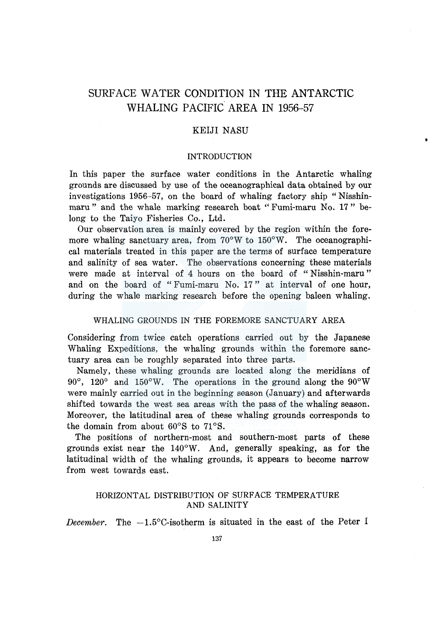# SURFACE WATER CONDITION IN **THE ANTARCTIC**  WHALING PACIFIC AREA IN 1956-57

# KEIJI NASU

#### INTRODUCTION

In this paper the surface water conditions in the Antarctic whaling grounds are discussed by use of the oceanographical data obtained by our investigations 1956-57, on the board of whaling factory ship "Nisshinmaru" and the whale marking research boat "Fumi-maru No. 17" belong to the Taiyo Fisheries Co., Ltd.

Our observation area is mainly covered by the region within the foremore whaling sanctuary area, from  $70^{\circ}$ W to  $150^{\circ}$ W. The oceanographical materials treated in this paper are the terms of surface temperature and salinity of sea water. The observations concerning these materials were made at interval of 4 hours on the board of "Nisshin-maru" and on the board of "Fumi-maru No. 17" at interval of one hour, during the whale marking research before the opening baleen whaling.

# WHALING GROUNDS IN THE FOREMORE SANCTUARY AREA

Considering from twice catch operations carried out by the Japanese Whaling Expeditions, the whaling grounds within the foremore sanctuary area can be roughly separated into three parts.

Namely, these whaling grounds are located along the meridians of 90°, 120° and 150°W. The operations in the ground along the 90°W were mainly carried out in the beginning season (January) and afterwards shifted towards the west sea areas with the pass of the whaling season. Moreover, the latitudinal area of these whaling grounds corresponds to the domain from about  $60^{\circ}$ S to  $71^{\circ}$ S.

The positions of northern-most and southern-most parts of these grounds exist near the 140°W. And, generally speaking, as for the latitudinal width of the whaling grounds, it appears to become narrow from west towards east.

# HORIZONTAL DISTRIBUTION OF SURFACE TEMPERATURE AND SALINITY

*December.* The  $-1.5^{\circ}$ C-isotherm is situated in the east of the Peter I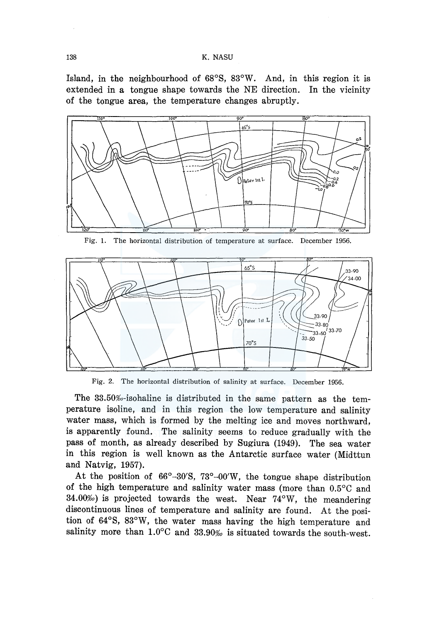Island, in the neighbourhood of 68°8, 83°W. And, in this region it is extended in a tongue shape towards the NE direction. In the vicinity of the tongue area, the temperature changes abruptly.



Fig. 1. The horizontal distribution of temperature at surface. December 1956.



Fig. 2. The horizontal distribution of salinity at surface. December 1956.

The  $33.50\%$ -isohaline is distributed in the same pattern as the temperature isoline, and in this region the low temperature and salinity water mass, which is formed by the melting ice and moves northward, is apparently found. The salinity seems to reduce gradually with the pass of month, as already described by 8ugiura (1949). The sea water in this region is well known as the Antarctic surface water (Midttun and Natvig, 1957).

At the position of  $66^{\circ}$ -30'S,  $73^{\circ}$ -00'W, the tongue shape distribution of the high temperature and salinity water mass (more than 0.5°C and 34.00%) is projected towards the west. Near  $74^{\circ}$ W, the meandering discontinuous lines of temperature and salinity are found. At the position of 64°8, 83°W, the water mass having the high temperature and salinity more than  $1.0^{\circ}$ C and  $33.90%$  is situated towards the south-west.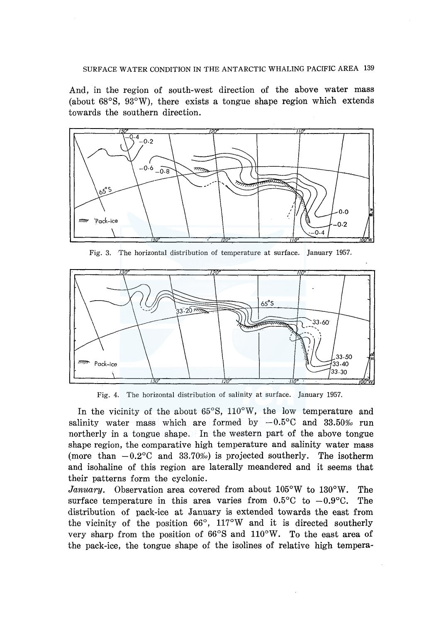## SURFACE WATER CONDITION IN THE ANTARCTIC WHALING PACIFIC AREA 139

And, in the region of south-west direction of the above water mass (about 68°8, 93°W), there exists a tongue shape region which extends towards the southern direction.



Fig. 3. The horizontal distribution of temperature at surface. January 1957.



Fig. 4. The horizontal distribution of salinity at surface. January 1957.

In the vicinity of the about 65°8, 110°W, the low temperature and salinity water mass which are formed by  $-0.5^{\circ}$ C and 33.50% run northerly in a tongue shape. In the western part of the above tongue shape region, the comparative high temperature and salinity water mass (more than  $-0.2$ °C and 33.70‰) is projected southerly. The isotherm and isohaline of this region are laterally meandered and it seems that their patterns form the cyclonic.

*January.* Observation area covered from about 105°W to 130°W. The surface temperature in this area varies from  $0.5^{\circ}$ C to  $-0.9^{\circ}$ C. The distribution of pack-ice at January is extended towards the east from the vicinity of the position  $66^{\circ}$ ,  $117^{\circ}$ W and it is directed southerly very sharp from the position of 66°8 and 110°W. To the east area of the pack-ice, the tongue shape of the isolines of relative high tempera-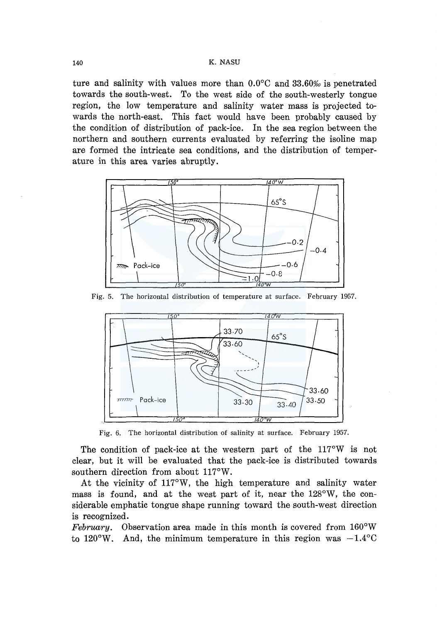### 140 K. NASU

ture and salinity with values more than  $0.0^{\circ}$ C and  $33.60\%$  is penetrated towards the south-west. To the west side of the south-westerly tongue region, the low temperature and salinity water mass is projected towards the north-east. This fact would have been probably caused by the condition of distribution of pack-ice. In the sea region between the northern and southern currents evaluated by referring the isoline map are formed the intricate sea conditions, and the distribution of temperature in this area varies abruptly.



Fig. 5. The horizontal distribution of temperature at surface. February 1957.



Fig. 6. The horizontal distribution of salinity at surface. February 1957.

The condition of pack-ice at the western part of the  $117^{\circ}$ W is not clear, but it will be evaluated that the pack-ice is distributed towards southern direction from about 117°W.

At the vicinity of 117°W, the high temperature and salinity water mass is found, and at the west part of it, near the 128°W, the considerable emphatic tongue shape running toward the south-west direction is recognized.

*February.* Observation area made in this month is covered from 160°W to 120°W. And, the minimum temperature in this region was  $-1.4^{\circ}$ C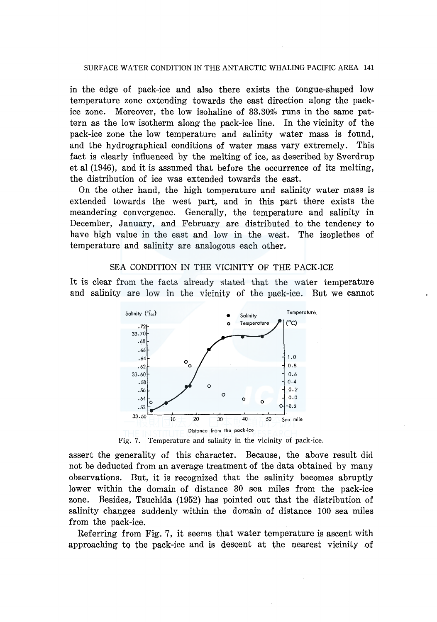## SURFACE WATER CONDITION IN THE ANTARCTIC WHALING PACIFIC AREA 141

in the edge of pack-ice and also there exists the tongue-shaped low temperature zone extending towards the east direction along the packice zone. Moreover, the low isohaline of  $33.30\%$  runs in the same pattern as the low isotherm along the pack-ice line. In the vicinity of the pack-ice zone the low temperature and salinity water mass is found, and the hydrographical conditions of water mass vary extremely. This fact is clearly influenced by the melting of ice, as described by Sverdrup et al (1946), and it is assumed that before the occurrence of its melting, the distribution of ice was extended towards the east.

On the other hand, the high temperature and salinity water mass is extended towards the west part, and in this part there exists the meandering convergence. Generally, the temperature and salinity in December, January, and February are distributed to the tendency to have high value in the east and low in the west. The isoplethes of temperature and salinity are analogous each other.

## SEA CONDITION IN THE VICINITY OF THE PACK-ICE

It is clear from the facts already stated that the water temperature and salinity are low in the vicinity of the pack-ice. But we cannot



assert the generality of this character. Because, the above result did not be deducted from an average treatment of the data obtained by many observations. But, it is recognized that the salinity becomes abruptly lower within the domain of distance 30 sea miles from the pack-ice zone. Besides, Tsuchida (1952) has pointed out that the distribution of salinity changes suddenly within the domain of distance 100 sea miles from the pack-ice.

Referring from Fig. 7, it seems that water temperature is ascent with approaching to the pack-ice and is descent at the nearest vicinity of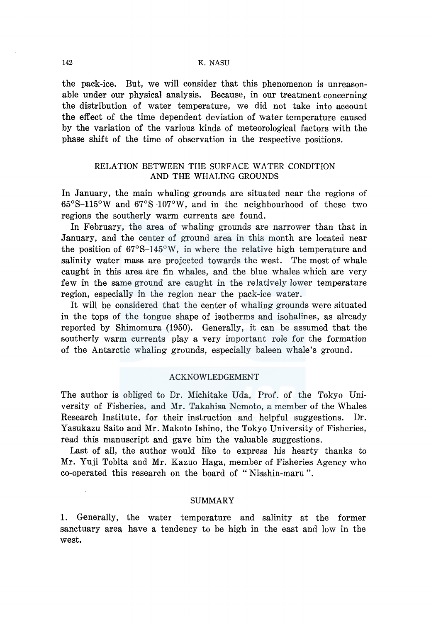#### 142 K. NASU

the pack-ice. But, we will consider that this phenomenon is unreasonable under our physical analysis. Because, in our treatment concerning the distribution of water temperature, we did not take into account the effect of the time dependent deviation of water temperature caused by the variation of the various kinds of meteorological factors with the phase shift of the time of observation in the respective positions.

# RELATION BETWEEN THE SURFACE WATER CONDITION AND THE WHALING GROUNDS

In January, the main whaling grounds are situated near the regions of 65°S-115°W and 67°S-107°W, and in the neighbourhood of these two regions the southerly warm currents are found.

In February, the area of whaling grounds are narrower than that in January, and the center of ground area in this month are located near the position of 67°S-145°W, in where the relative high temperature and salinity water mass are projected towards the west. The most of whale caught in this area are fin whales, and the blue whales which are very few in the same ground are caught in the relatively lower temperature region, especially in the region near the pack-ice water.

It will be considered that the center of whaling grounds were situated in the tops of the tongue shape of isotherms and isohalines, as already reported by Shimomura (1950). Generally, it can be assumed that the southerly warm currents play a very important role for the formation of the Antarctic whaling grounds, especially baleen whale's ground.

#### ACKNOWLEDGEMENT

The author is obliged to Dr. Michitake Uda, Prof. of the Tokyo University of Fisheries, and Mr. Takahisa Nemoto, a member of the Whales Research Institute, for their instruction and helpful suggestions. Dr. Yasukazu Saito and Mr. Makoto Ishino, the Tokyo University of Fisheries, read this manuscript and gave him the valuable suggestions.

Last of all, the author would like to express his hearty thanks to Mr. Yuji Tobita and Mr. Kazuo Haga, member of Fisheries Agency who co-operated this research on the board of " Nisshin-maru ".

## SUMMARY

1. Generally, the water temperature and salinity at the former sanctuary area have a tendency to be high in the east and low in the west.